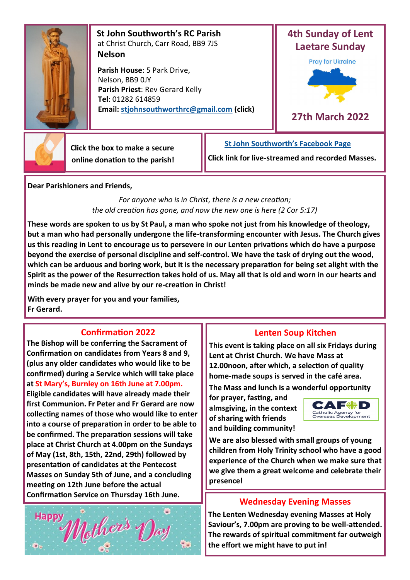

 **St John Southworth's RC Parish** at Christ Church, Carr Road, BB9 7JS **Nelson**

 **Parish House**: 5 Park Drive, Nelson, BB9 0JY **Parish Priest**: Rev Gerard Kelly **Tel**: 01282 614859 **Email: [stjohnsouthworthrc@gmail.com](mailto:stjohnsouthworth@gmail.com) (click)**



**27th March 2022**



 **Click the box to make a secure online donation to the parish!**

**Click link for live-streamed and recorded Masses.**

**[St John Southworth's Facebook Page](https://www.facebook.com/Parish-of-St-John-Southworth-in-Nelson-105718084323986)**

**Dear Parishioners and Friends,**

*For anyone who is in Christ, there is a new creation; the old creation has gone, and now the new one is here (2 Cor 5:17)*

**These words are spoken to us by St Paul, a man who spoke not just from his knowledge of theology, but a man who had personally undergone the life-transforming encounter with Jesus. The Church gives us this reading in Lent to encourage us to persevere in our Lenten privations which do have a purpose beyond the exercise of personal discipline and self-control. We have the task of drying out the wood, which can be arduous and boring work, but it is the necessary preparation for being set alight with the Spirit as the power of the Resurrection takes hold of us. May all that is old and worn in our hearts and minds be made new and alive by our re-creation in Christ!**

**With every prayer for you and your families, Fr Gerard.**

## **Confirmation 2022**

**The Bishop will be conferring the Sacrament of Confirmation on candidates from Years 8 and 9, (plus any older candidates who would like to be confirmed) during a Service which will take place at St Mary's, Burnley on 16th June at 7.00pm. Eligible candidates will have already made their first Communion. Fr Peter and Fr Gerard are now collecting names of those who would like to enter into a course of preparation in order to be able to be confirmed. The preparation sessions will take place at Christ Church at 4.00pm on the Sundays of May (1st, 8th, 15th, 22nd, 29th) followed by presentation of candidates at the Pentecost Masses on Sunday 5th of June, and a concluding meeting on 12th June before the actual Confirmation Service on Thursday 16th June.** 



## **Lenten Soup Kitchen**

**This event is taking place on all six Fridays during Lent at Christ Church. We have Mass at 12.00noon, after which, a selection of quality home-made soups is served in the café area.** 

**The Mass and lunch is a wonderful opportunity** 

**for prayer, fasting, and almsgiving, in the context of sharing with friends and building community!** 



**We are also blessed with small groups of young children from Holy Trinity school who have a good experience of the Church when we make sure that we give them a great welcome and celebrate their presence!**

## **Wednesday Evening Masses**

**The Lenten Wednesday evening Masses at Holy Saviour's, 7.00pm are proving to be well-attended. The rewards of spiritual commitment far outweigh the effort we might have to put in!**